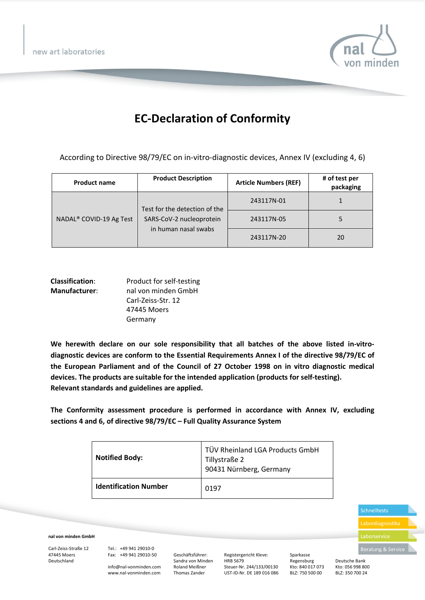new art laboratories



## **EC-Declaration of Conformity**

According to Directive 98/79/EC on in-vitro-diagnostic devices, Annex IV (excluding 4, 6)

| <b>Product name</b>                 | <b>Product Description</b>                                                        | <b>Article Numbers (REF)</b> | # of test per<br>packaging |
|-------------------------------------|-----------------------------------------------------------------------------------|------------------------------|----------------------------|
| NADAL <sup>®</sup> COVID-19 Ag Test | Test for the detection of the<br>SARS-CoV-2 nucleoprotein<br>in human nasal swabs | 243117N-01                   |                            |
|                                     |                                                                                   | 243117N-05                   |                            |
|                                     |                                                                                   | 243117N-20                   | 20                         |

| <b>Classification:</b> | Product for self-testing |
|------------------------|--------------------------|
| <b>Manufacturer:</b>   | nal von minden GmbH      |
|                        | Carl-Zeiss-Str. 12       |
|                        | 47445 Moers              |
|                        | Germany                  |

We herewith declare on our sole responsibility that all batches of the above listed in-vitro**diagnostic devices are conform to the Essential Requirements Annex I of the directive 98/79/EC of the European Parliament and of the Council of 27 October 1998 on in vitro diagnostic medical devices. The products are suitable for the intended application (products for self-testing). Relevant standards and guidelines are applied.** 

**The Conformity assessment procedure is performed in accordance with Annex IV, excluding sections 4 and 6, of directive 98/79/EC – Full Quality Assurance System**

| <b>Notified Body:</b>        | TÜV Rheinland LGA Products GmbH<br>Tillystraße 2<br>90431 Nürnberg, Germany |
|------------------------------|-----------------------------------------------------------------------------|
| <b>Identification Number</b> | 0197                                                                        |

Schnelltests Laborservice

**nal von minden GmbH** 

Carl-Zeiss-Straße 12 47445 Moers Deutschland

Tel.: +49 941 29010-0 Fax: +49 941 29010-50

info@nal-vonminden.com www.nal-vonminden.com

Geschäftsführer: Sandra von Minden Roland Meißner Thomas Zander

Registergericht Kleve: HRB 5679 Steuer-Nr. 244/133/00130 UST-ID-Nr. DE 189 016 086 Sparkasse Regensburg Kto: 840 017 073 BLZ: 750 500 00

Deutsche Bank Kto: 056 998 800 BLZ: 350 700 24